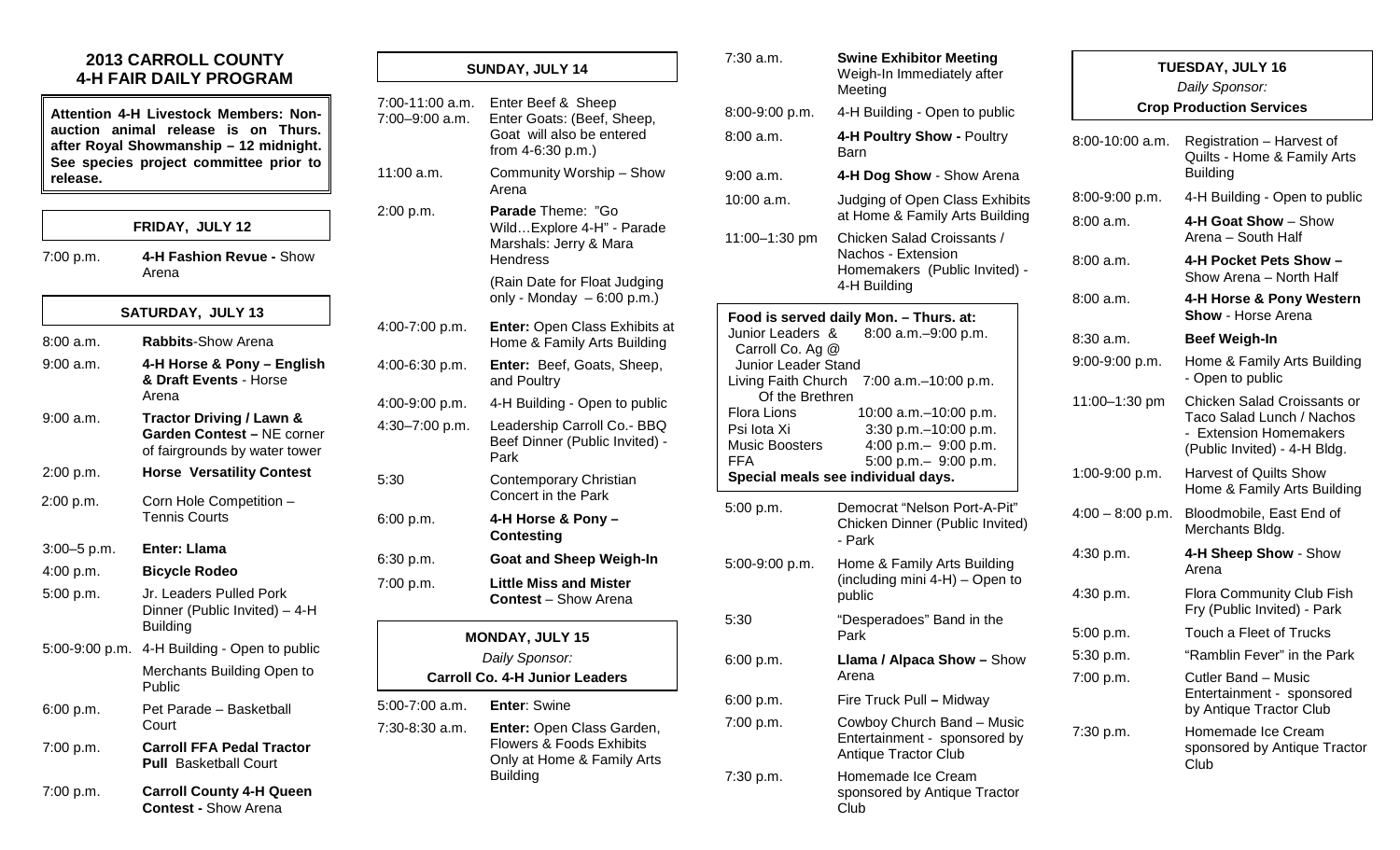## **2013 CARROLL COUNTY 4-H FAIR DAILY PROGRAM**

**Attention 4-H Livestock Members: Nonauction animal release is on Thurs. after Royal Showmanship – 12 midnight. See species project committee prior to release.**

#### **FRIDAY, JULY 12**

7:00 p.m. **4-H Fashion Revue -** Show Arena

#### **SATURDAY, JULY 13**

| 8:00a.m.         | <b>Rabbits-Show Arena</b>                                                                          |
|------------------|----------------------------------------------------------------------------------------------------|
| $9:00$ a.m.      | 4-H Horse & Pony – English<br>& Draft Events - Horse<br>Arena                                      |
| 9:00 a.m.        | <b>Tractor Driving / Lawn &amp;</b><br>Garden Contest - NE corner<br>of fairgrounds by water tower |
| 2:00 p.m.        | <b>Horse Versatility Contest</b>                                                                   |
| 2:00 p.m.        | Corn Hole Competition -<br><b>Tennis Courts</b>                                                    |
| $3:00 - 5$ p.m.  | Enter: Llama                                                                                       |
|                  |                                                                                                    |
| 4:00 p.m.        | <b>Bicycle Rodeo</b>                                                                               |
| 5:00 p.m.        | Jr. Leaders Pulled Pork<br>Dinner (Public Invited) - 4-H<br><b>Building</b>                        |
| $5:00-9:00$ p.m. | 4-H Building - Open to public                                                                      |
|                  | Merchants Building Open to<br>Public                                                               |
| 6:00 p.m.        | Pet Parade - Basketball<br>Court                                                                   |
| 7:00 p.m.        | <b>Carroll FFA Pedal Tractor</b><br><b>Pull Basketball Court</b>                                   |

7:00 p.m. **Carroll County 4-H Queen Contest -** Show Arena

| SUNDAY, JULY 14                   |                                                                                                                   |  |
|-----------------------------------|-------------------------------------------------------------------------------------------------------------------|--|
| 7:00-11:00 a.m.<br>7:00-9:00 a.m. | Enter Beef & Sheep<br>Enter Goats: (Beef, Sheep,<br>Goat will also be entered<br>from 4-6:30 p.m.)                |  |
| 11:00 a.m.                        | Community Worship - Show<br>Arena                                                                                 |  |
| 2:00 p.m.                         | Parade Theme: "Go<br>WildExplore 4-H" - Parade<br>Marshals: Jerry & Mara<br><b>Hendress</b>                       |  |
|                                   | (Rain Date for Float Judging<br>only - Monday $-6:00$ p.m.)                                                       |  |
| 4:00-7:00 p.m.                    | <b>Enter: Open Class Exhibits at</b><br>Home & Family Arts Building                                               |  |
| 4:00-6:30 p.m.                    | Enter: Beef, Goats, Sheep,<br>and Poultry                                                                         |  |
| 4:00-9:00 p.m.                    | 4-H Building - Open to public                                                                                     |  |
| 4:30-7:00 p.m.                    | Leadership Carroll Co.- BBQ<br>Beef Dinner (Public Invited) -<br>Park                                             |  |
| 5:30                              | Contemporary Christian<br>Concert in the Park                                                                     |  |
| 6:00 p.m.                         | 4-H Horse & Pony -<br><b>Contesting</b>                                                                           |  |
| 6:30 p.m.                         | <b>Goat and Sheep Weigh-In</b>                                                                                    |  |
| 7:00 p.m.                         | <b>Little Miss and Mister</b><br><b>Contest</b> – Show Arena                                                      |  |
|                                   | <b>MONDAY, JULY 15</b><br>Daily Sponsor:                                                                          |  |
|                                   | <b>Carroll Co. 4-H Junior Leaders</b>                                                                             |  |
| 5:00-7:00 a.m.                    | <b>Enter: Swine</b>                                                                                               |  |
| 7:30-8:30 a.m.                    | Enter: Open Class Garden,<br><b>Flowers &amp; Foods Exhibits</b><br>Only at Home & Family Arts<br><b>Building</b> |  |
|                                   |                                                                                                                   |  |

| 7:30 a.m.<br>8:00-9:00 p.m.                                                                                                                                                       | <b>Swine Exhibitor Meeting</b><br>Weigh-In Immediately after<br>Meeting<br>4-H Building - Open to public |                    | <b>TUESDAY, JULY 16</b><br>Daily Sponsor:<br><b>Crop Production Services</b>                                       |  |  |
|-----------------------------------------------------------------------------------------------------------------------------------------------------------------------------------|----------------------------------------------------------------------------------------------------------|--------------------|--------------------------------------------------------------------------------------------------------------------|--|--|
| 8:00 a.m.<br>9:00 a.m.                                                                                                                                                            | 4-H Poultry Show - Poultry<br><b>Barn</b><br>4-H Dog Show - Show Arena                                   | 8:00-10:00 a.m.    | Registration - Harvest of<br>Quilts - Home & Family Arts<br><b>Building</b>                                        |  |  |
| $10:00$ a.m.                                                                                                                                                                      | Judging of Open Class Exhibits<br>at Home & Family Arts Building                                         | 8:00-9:00 p.m.     | 4-H Building - Open to public                                                                                      |  |  |
| 11:00-1:30 pm                                                                                                                                                                     | Chicken Salad Croissants /                                                                               | 8:00a.m.           | 4-H Goat Show - Show<br>Arena - South Half                                                                         |  |  |
|                                                                                                                                                                                   | Nachos - Extension<br>Homemakers (Public Invited) -<br>4-H Building                                      | 8:00 a.m.          | 4-H Pocket Pets Show -<br>Show Arena - North Half                                                                  |  |  |
|                                                                                                                                                                                   | Food is served daily Mon. - Thurs. at:                                                                   | 8:00 a.m.          | 4-H Horse & Pony Western<br><b>Show - Horse Arena</b>                                                              |  |  |
| Junior Leaders &<br>Carroll Co. Ag @                                                                                                                                              | 8:00 a.m. - 9:00 p.m.                                                                                    | $8:30$ a.m.        | <b>Beef Weigh-In</b>                                                                                               |  |  |
| Junior Leader Stand                                                                                                                                                               | Living Faith Church 7:00 a.m.-10:00 p.m.                                                                 | 9:00-9:00 p.m.     | Home & Family Arts Building<br>- Open to public                                                                    |  |  |
| Of the Brethren<br>Flora Lions<br>Psi lota Xi<br><b>Music Boosters</b><br><b>FFA</b>                                                                                              | 10:00 a.m. - 10:00 p.m.<br>3:30 p.m. - 10:00 p.m.<br>4:00 p.m. $-$ 9:00 p.m.                             | 11:00-1:30 pm      | Chicken Salad Croissants or<br>Taco Salad Lunch / Nachos<br>- Extension Homemakers<br>(Public Invited) - 4-H Bldg. |  |  |
|                                                                                                                                                                                   | 5:00 p.m.- 9:00 p.m.<br>Special meals see individual days.                                               | 1:00-9:00 p.m.     | <b>Harvest of Quilts Show</b><br>Home & Family Arts Building                                                       |  |  |
| 5:00 p.m.                                                                                                                                                                         | Democrat "Nelson Port-A-Pit"<br>Chicken Dinner (Public Invited)<br>- Park                                | $4:00 - 8:00$ p.m. | Bloodmobile, East End of<br>Merchants Bldg.                                                                        |  |  |
| 5:00-9:00 p.m.                                                                                                                                                                    | Home & Family Arts Building<br>(including mini 4-H) – Open to                                            | 4:30 p.m.          | 4-H Sheep Show - Show<br>Arena                                                                                     |  |  |
|                                                                                                                                                                                   | public                                                                                                   | 4:30 p.m.          | Flora Community Club Fish<br>Fry (Public Invited) - Park                                                           |  |  |
| 5:30                                                                                                                                                                              | "Desperadoes" Band in the<br>Park                                                                        | 5:00 p.m.          | Touch a Fleet of Trucks                                                                                            |  |  |
| 6:00 p.m.                                                                                                                                                                         | Llama / Alpaca Show - Show                                                                               | 5:30 p.m.          | "Ramblin Fever" in the Park                                                                                        |  |  |
|                                                                                                                                                                                   | Arena                                                                                                    | 7:00 p.m.          | Cutler Band – Music                                                                                                |  |  |
| 6:00 p.m.                                                                                                                                                                         | Fire Truck Pull - Midway                                                                                 |                    | Entertainment - sponsored<br>by Antique Tractor Club                                                               |  |  |
| Cowboy Church Band - Music<br>7:00 p.m.<br>Entertainment - sponsored by<br><b>Antique Tractor Club</b><br>Homemade Ice Cream<br>7:30 p.m.<br>sponsored by Antique Tractor<br>Club |                                                                                                          | 7:30 p.m.          | Homemade Ice Cream<br>sponsored by Antique Tractor                                                                 |  |  |
|                                                                                                                                                                                   |                                                                                                          |                    | Club                                                                                                               |  |  |